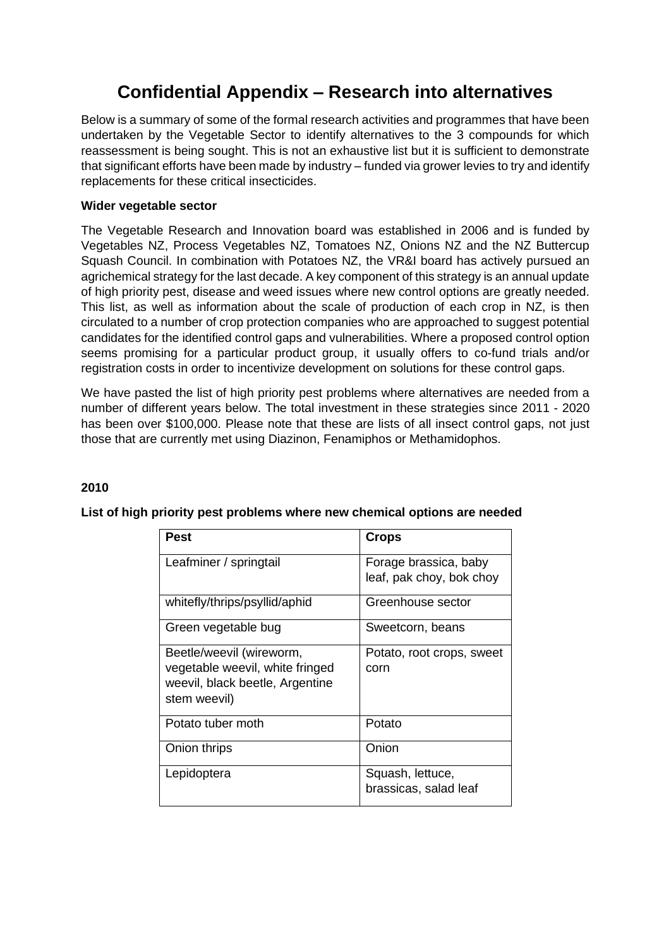# **Confidential Appendix – Research into alternatives**

Below is a summary of some of the formal research activities and programmes that have been undertaken by the Vegetable Sector to identify alternatives to the 3 compounds for which reassessment is being sought. This is not an exhaustive list but it is sufficient to demonstrate that significant efforts have been made by industry – funded via grower levies to try and identify replacements for these critical insecticides.

#### **Wider vegetable sector**

The Vegetable Research and Innovation board was established in 2006 and is funded by Vegetables NZ, Process Vegetables NZ, Tomatoes NZ, Onions NZ and the NZ Buttercup Squash Council. In combination with Potatoes NZ, the VR&I board has actively pursued an agrichemical strategy for the last decade. A key component of this strategy is an annual update of high priority pest, disease and weed issues where new control options are greatly needed. This list, as well as information about the scale of production of each crop in NZ, is then circulated to a number of crop protection companies who are approached to suggest potential candidates for the identified control gaps and vulnerabilities. Where a proposed control option seems promising for a particular product group, it usually offers to co-fund trials and/or registration costs in order to incentivize development on solutions for these control gaps.

We have pasted the list of high priority pest problems where alternatives are needed from a number of different years below. The total investment in these strategies since 2011 - 2020 has been over \$100,000. Please note that these are lists of all insect control gaps, not just those that are currently met using Diazinon, Fenamiphos or Methamidophos.

#### **2010**

| <b>Pest</b>                     | <b>Crops</b>              |
|---------------------------------|---------------------------|
| Leafminer / springtail          | Forage brassica, baby     |
|                                 | leaf, pak choy, bok choy  |
| whitefly/thrips/psyllid/aphid   | Greenhouse sector         |
| Green vegetable bug             | Sweetcorn, beans          |
| Beetle/weevil (wireworm,        | Potato, root crops, sweet |
| vegetable weevil, white fringed | corn                      |
| weevil, black beetle, Argentine |                           |
| stem weevil)                    |                           |
| Potato tuber moth               | Potato                    |
| Onion thrips                    | Onion                     |
| Lepidoptera                     | Squash, lettuce,          |
|                                 | brassicas, salad leaf     |

#### **List of high priority pest problems where new chemical options are needed**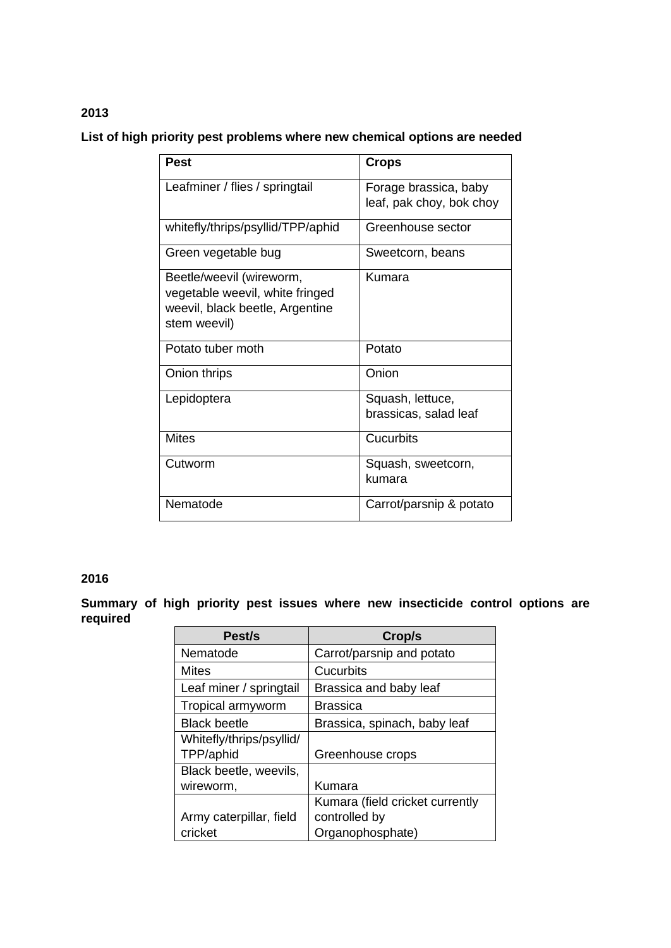## **List of high priority pest problems where new chemical options are needed**

| <b>Pest</b>                       | Crops                    |
|-----------------------------------|--------------------------|
| Leafminer / flies / springtail    | Forage brassica, baby    |
|                                   | leaf, pak choy, bok choy |
|                                   |                          |
| whitefly/thrips/psyllid/TPP/aphid | Greenhouse sector        |
|                                   |                          |
| Green vegetable bug               | Sweetcorn, beans         |
| Beetle/weevil (wireworm,          | Kumara                   |
| vegetable weevil, white fringed   |                          |
| weevil, black beetle, Argentine   |                          |
| stem weevil)                      |                          |
|                                   |                          |
| Potato tuber moth                 | Potato                   |
|                                   |                          |
| Onion thrips                      | Onion                    |
| Lepidoptera                       | Squash, lettuce,         |
|                                   | brassicas, salad leaf    |
|                                   |                          |
| <b>Mites</b>                      | Cucurbits                |
| Cutworm                           | Squash, sweetcorn,       |
|                                   | kumara                   |
|                                   |                          |
| Nematode                          | Carrot/parsnip & potato  |
|                                   |                          |

### **2016**

**Summary of high priority pest issues where new insecticide control options are required**

| Pest/s                   | Crop/s                          |
|--------------------------|---------------------------------|
| Nematode                 | Carrot/parsnip and potato       |
| Mites                    | Cucurbits                       |
| Leaf miner / springtail  | Brassica and baby leaf          |
| Tropical armyworm        | <b>Brassica</b>                 |
| <b>Black beetle</b>      | Brassica, spinach, baby leaf    |
| Whitefly/thrips/psyllid/ |                                 |
| TPP/aphid                | Greenhouse crops                |
| Black beetle, weevils,   |                                 |
| wireworm,                | Kumara                          |
|                          | Kumara (field cricket currently |
| Army caterpillar, field  | controlled by                   |
| cricket                  | Organophosphate)                |

#### **2013**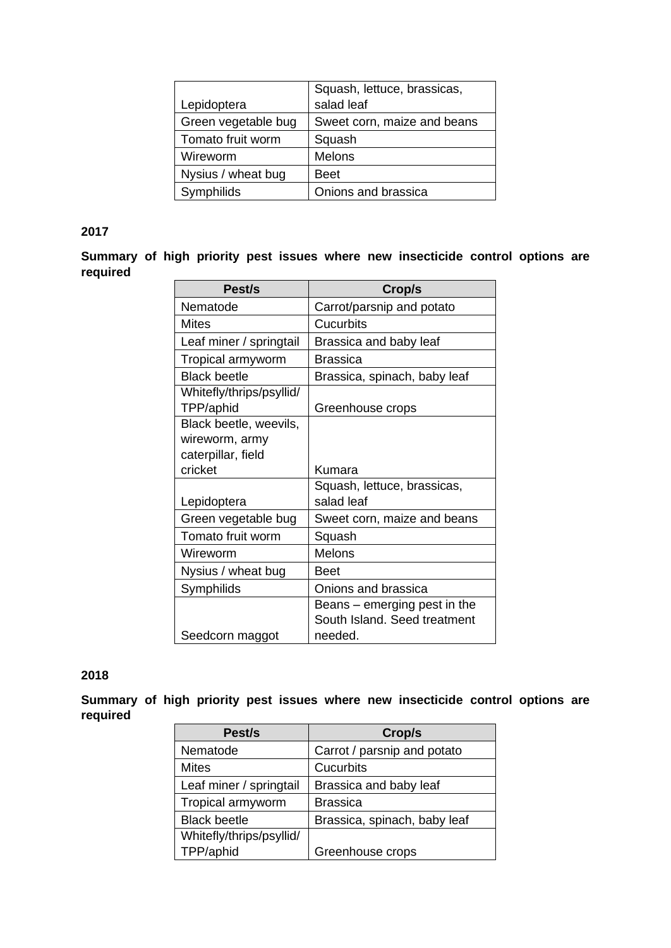|                     | Squash, lettuce, brassicas, |
|---------------------|-----------------------------|
| Lepidoptera         | salad leaf                  |
| Green vegetable bug | Sweet corn, maize and beans |
| Tomato fruit worm   | Squash                      |
| Wireworm            | Melons                      |
| Nysius / wheat bug  | <b>Beet</b>                 |
| Symphilids          | Onions and brassica         |

#### **2017**

**Summary of high priority pest issues where new insecticide control options are required**

| Pest/s                                | Crop/s                                                       |
|---------------------------------------|--------------------------------------------------------------|
| Nematode                              | Carrot/parsnip and potato                                    |
| Mites                                 | Cucurbits                                                    |
| Leaf miner / springtail               | Brassica and baby leaf                                       |
| Tropical armyworm                     | <b>Brassica</b>                                              |
| <b>Black beetle</b>                   | Brassica, spinach, baby leaf                                 |
| Whitefly/thrips/psyllid/<br>TPP/aphid | Greenhouse crops                                             |
| Black beetle, weevils,                |                                                              |
| wireworm, army                        |                                                              |
| caterpillar, field                    |                                                              |
| cricket                               | Kumara                                                       |
|                                       | Squash, lettuce, brassicas,                                  |
| Lepidoptera                           | salad leaf                                                   |
| Green vegetable bug                   | Sweet corn, maize and beans                                  |
| Tomato fruit worm                     | Squash                                                       |
| Wireworm                              | <b>Melons</b>                                                |
| Nysius / wheat bug                    | Beet                                                         |
| Symphilids                            | Onions and brassica                                          |
|                                       | Beans – emerging pest in the<br>South Island. Seed treatment |
| Seedcorn maggot                       | needed.                                                      |

#### **2018**

**Summary of high priority pest issues where new insecticide control options are required**

| Pest/s                   | Crop/s                       |
|--------------------------|------------------------------|
| Nematode                 | Carrot / parsnip and potato  |
| <b>Mites</b>             | Cucurbits                    |
| Leaf miner / springtail  | Brassica and baby leaf       |
| Tropical armyworm        | <b>Brassica</b>              |
| <b>Black beetle</b>      | Brassica, spinach, baby leaf |
| Whitefly/thrips/psyllid/ |                              |
| TPP/aphid                | Greenhouse crops             |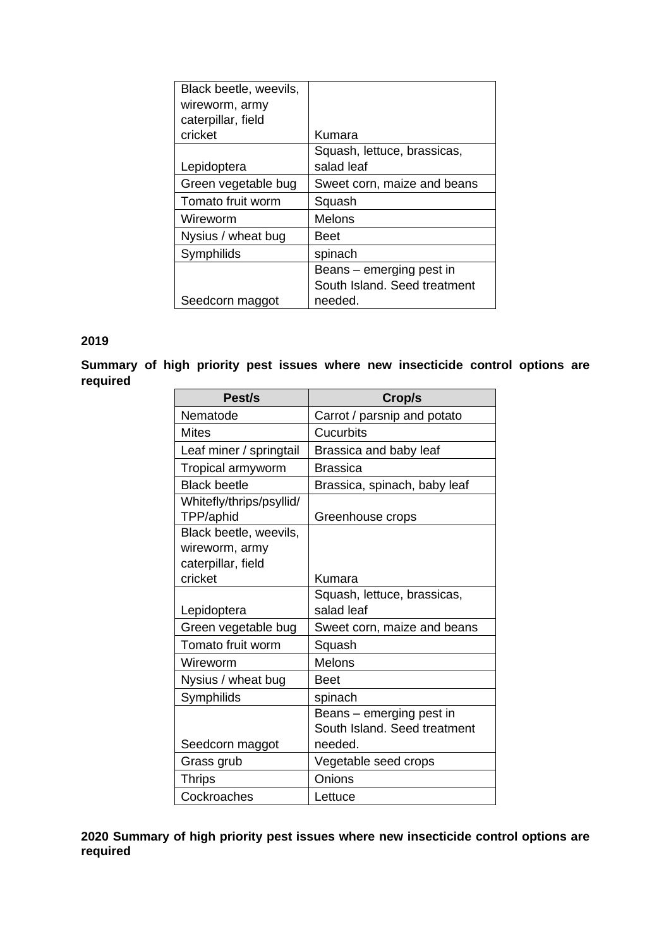| Black beetle, weevils, |                              |
|------------------------|------------------------------|
| wireworm, army         |                              |
| caterpillar, field     |                              |
| cricket                | Kumara                       |
|                        | Squash, lettuce, brassicas,  |
| Lepidoptera            | salad leaf                   |
| Green vegetable bug    | Sweet corn, maize and beans  |
| Tomato fruit worm      | Squash                       |
| Wireworm               | Melons                       |
| Nysius / wheat bug     | Beet                         |
| Symphilids             | spinach                      |
|                        | Beans – emerging pest in     |
|                        | South Island. Seed treatment |
| Seedcorn maggot        | needed.                      |

#### **2019**

#### **Summary of high priority pest issues where new insecticide control options are required**

| Pest/s                                   | Crop/s                       |
|------------------------------------------|------------------------------|
| Nematode                                 | Carrot / parsnip and potato  |
| Mites                                    | Cucurbits                    |
| Leaf miner / springtail                  | Brassica and baby leaf       |
| Tropical armyworm                        | <b>Brassica</b>              |
| <b>Black beetle</b>                      | Brassica, spinach, baby leaf |
| Whitefly/thrips/psyllid/<br>TPP/aphid    | Greenhouse crops             |
| Black beetle, weevils,<br>wireworm, army |                              |
| caterpillar, field                       |                              |
| cricket                                  | Kumara                       |
|                                          | Squash, lettuce, brassicas,  |
| Lepidoptera                              | salad leaf                   |
| Green vegetable bug                      | Sweet corn, maize and beans  |
| Tomato fruit worm                        | Squash                       |
| Wireworm                                 | Melons                       |
| Nysius / wheat bug                       | <b>Beet</b>                  |
| Symphilids                               | spinach                      |
|                                          | Beans – emerging pest in     |
|                                          | South Island, Seed treatment |
| Seedcorn maggot                          | needed.                      |
| Grass grub                               | Vegetable seed crops         |
| <b>Thrips</b>                            | Onions                       |
| Cockroaches                              | Lettuce                      |

**2020 Summary of high priority pest issues where new insecticide control options are required**